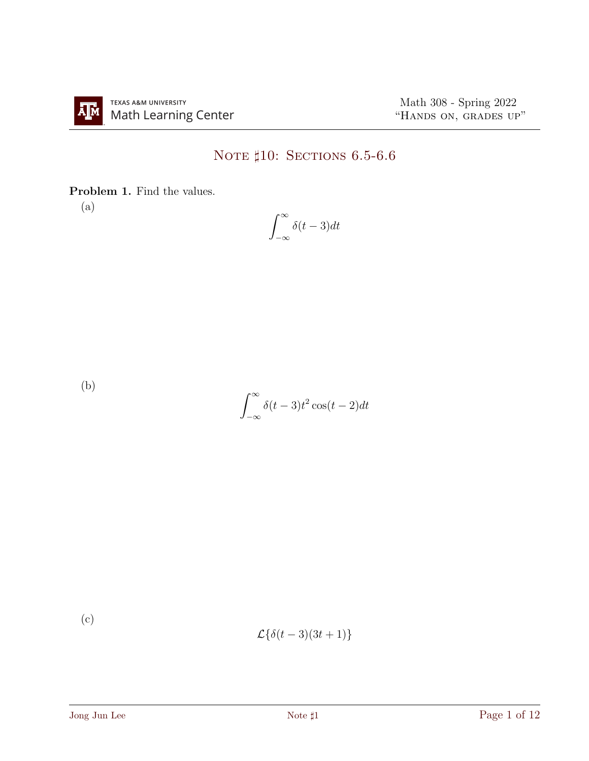## NOTE  $\sharp 10:$  Sections 6.5-6.6

Problem 1. Find the values.

(a)

$$
\int_{-\infty}^{\infty} \delta(t-3)dt
$$

(b)

$$
\int_{-\infty}^{\infty} \delta(t-3)t^2 \cos(t-2) dt
$$

(c)

$$
\mathcal{L}\{\delta(t-3)(3t+1)\}\
$$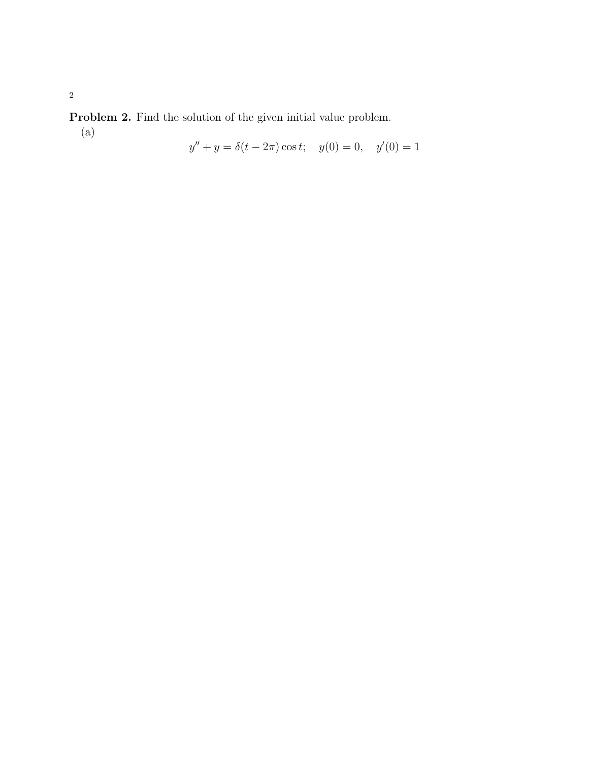Problem 2. Find the solution of the given initial value problem.

(a)

$$
y'' + y = \delta(t - 2\pi)\cos t; \quad y(0) = 0, \quad y'(0) = 1
$$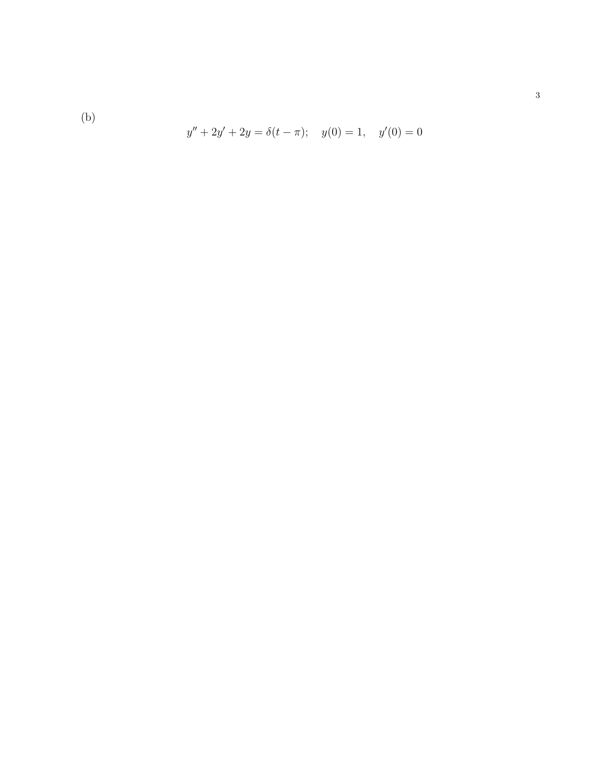(b)

$$
y'' + 2y' + 2y = \delta(t - \pi); \quad y(0) = 1, \quad y'(0) = 0
$$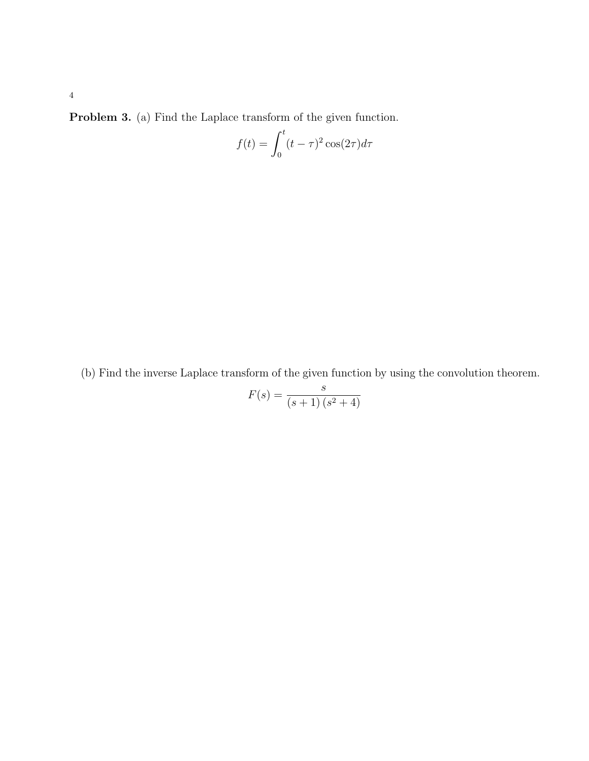Problem 3. (a) Find the Laplace transform of the given function.

$$
f(t) = \int_0^t (t - \tau)^2 \cos(2\tau) d\tau
$$

(b) Find the inverse Laplace transform of the given function by using the convolution theorem.

$$
F(s) = \frac{s}{(s+1)(s^2+4)}
$$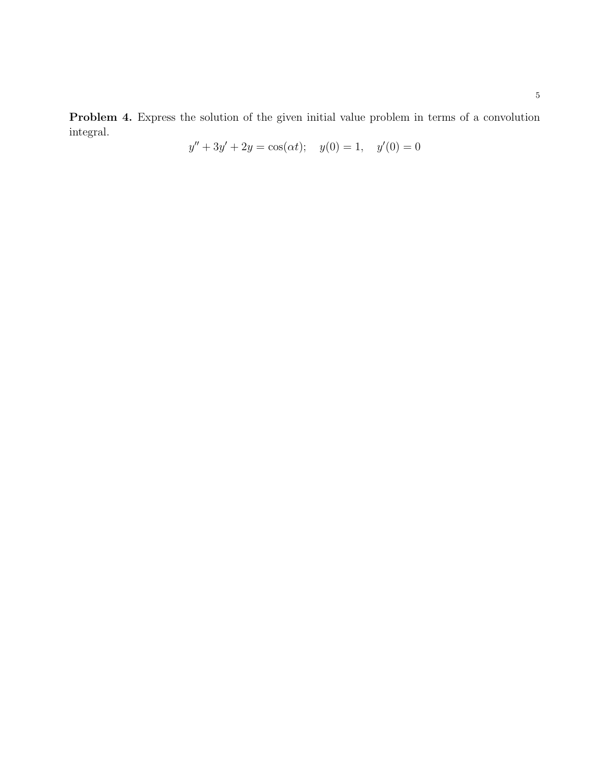Problem 4. Express the solution of the given initial value problem in terms of a convolution integral.

$$
y'' + 3y' + 2y = \cos(\alpha t); \quad y(0) = 1, \quad y'(0) = 0
$$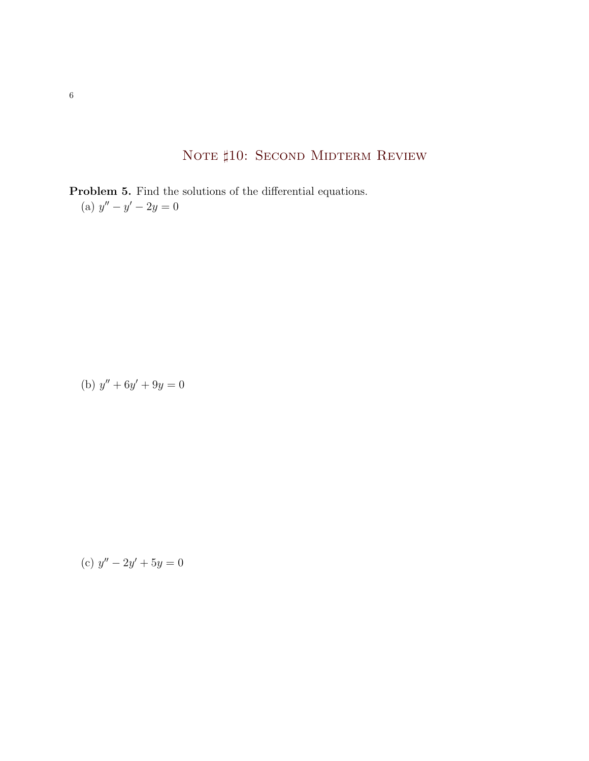## NOTE  $\sharp 10$ : Second Midterm Review

Problem 5. Find the solutions of the differential equations. (a)  $y'' - y' - 2y = 0$ 

(b)  $y'' + 6y' + 9y = 0$ 

(c) 
$$
y'' - 2y' + 5y = 0
$$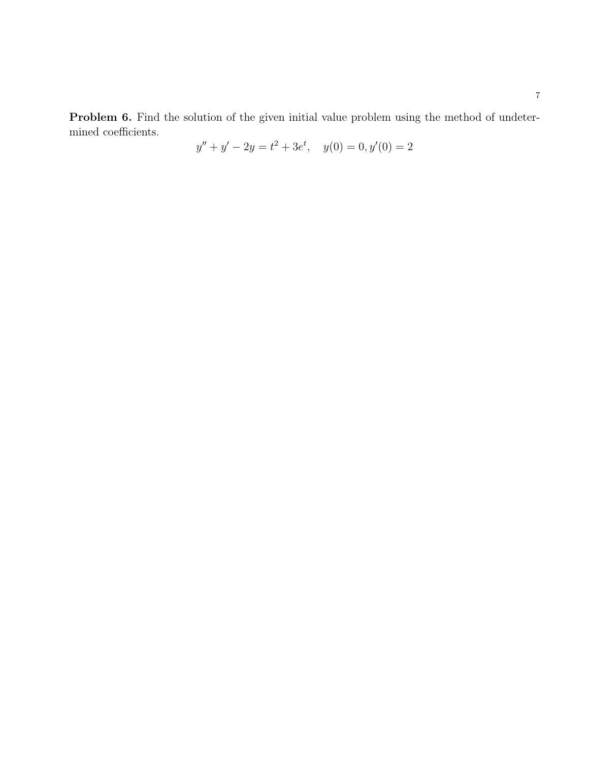Problem 6. Find the solution of the given initial value problem using the method of undetermined coefficients.

$$
y'' + y' - 2y = t^2 + 3e^t, \quad y(0) = 0, y'(0) = 2
$$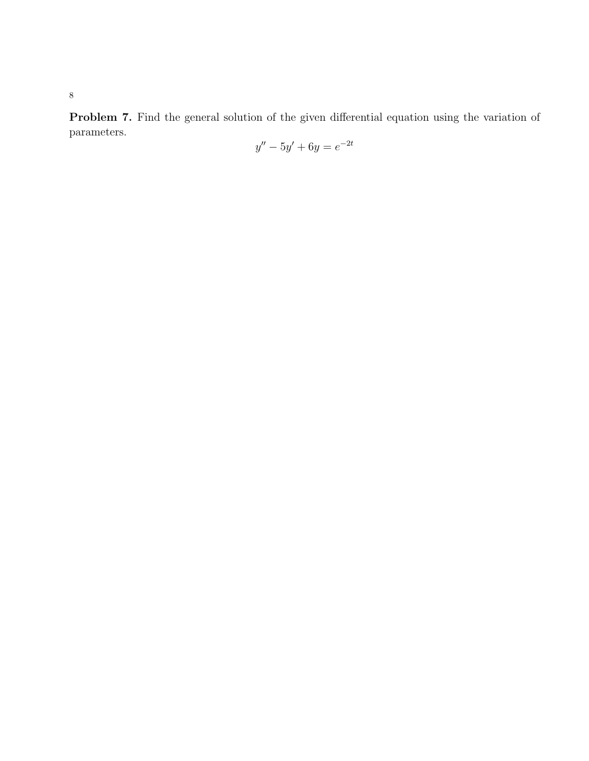Problem 7. Find the general solution of the given differential equation using the variation of parameters.

$$
y'' - 5y' + 6y = e^{-2t}
$$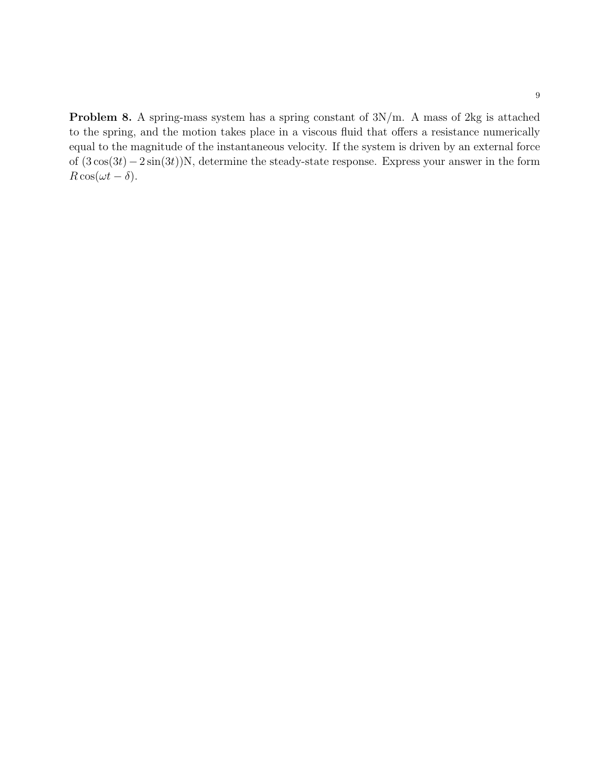Problem 8. A spring-mass system has a spring constant of  $3N/m$ . A mass of 2kg is attached to the spring, and the motion takes place in a viscous fluid that offers a resistance numerically equal to the magnitude of the instantaneous velocity. If the system is driven by an external force of (3 cos(3t)−2 sin(3t))N, determine the steady-state response. Express your answer in the form  $R \cos(\omega t - \delta)$ .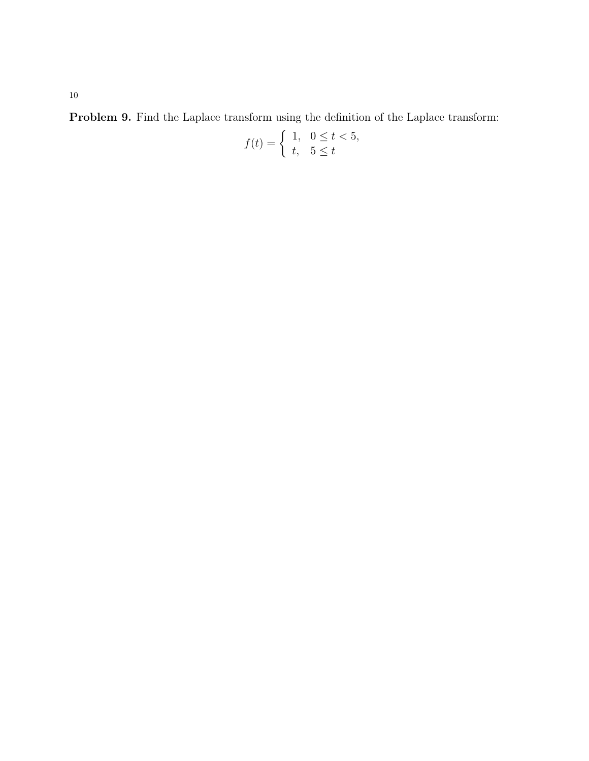Problem 9. Find the Laplace transform using the definition of the Laplace transform:

$$
f(t) = \begin{cases} 1, & 0 \le t < 5, \\ t, & 5 \le t \end{cases}
$$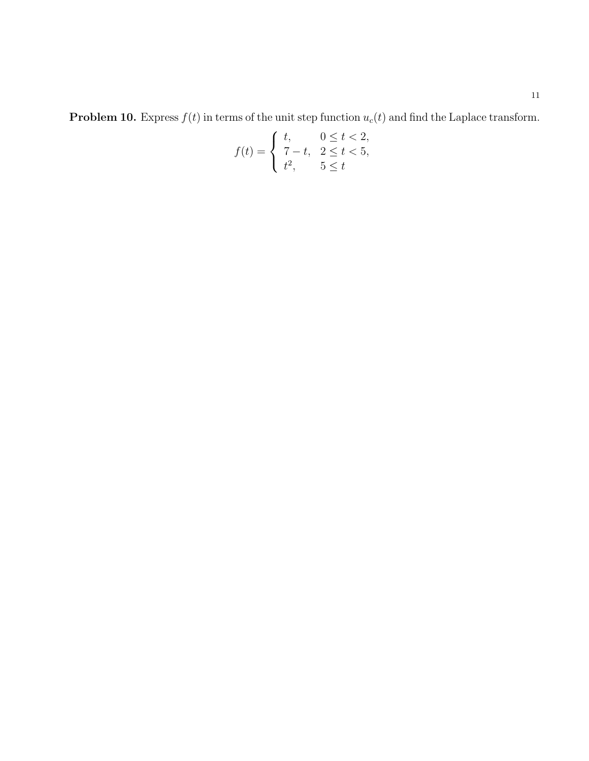**Problem 10.** Express  $f(t)$  in terms of the unit step function  $u_c(t)$  and find the Laplace transform.

$$
f(t) = \begin{cases} t, & 0 \le t < 2, \\ 7 - t, & 2 \le t < 5, \\ t^2, & 5 \le t \end{cases}
$$